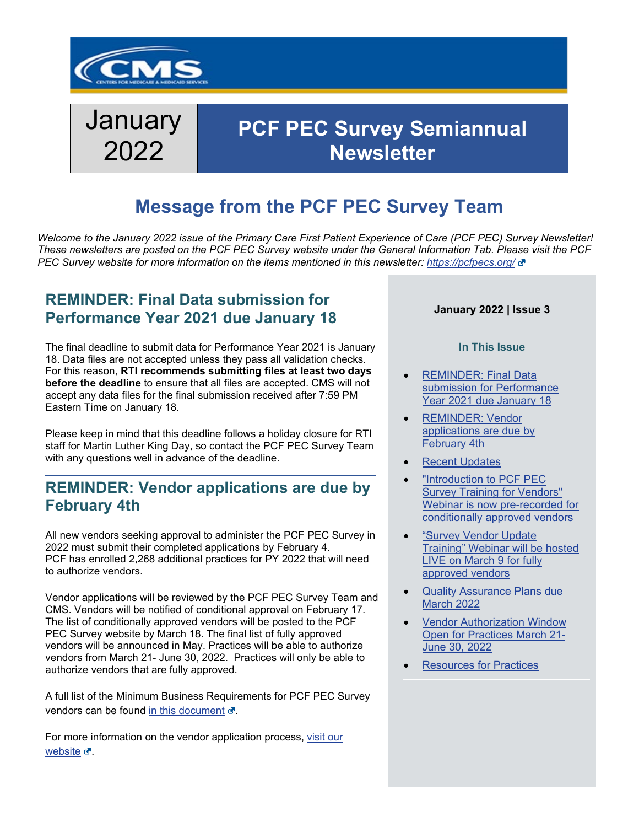

# **January** 2022

## **PCF PEC Survey Semiannual Newsletter**

## **Message from the PCF PEC Survey Team**

*Welcome to the January 2022 issue of the Primary Care First Patient Experience of Care (PCF PEC) Survey Newsletter! These newsletters are posted on the PCF PEC Survey website under the General Information Tab. Please visit the PCF PEC Survey website for more information on the items mentioned in this newsletter:<https://pcfpecs.org/>*

### <span id="page-0-0"></span>**REMINDER: Final Data submission for Performance Year 2021 due January 18**

The final deadline to submit data for Performance Year 2021 is January 18. Data files are not accepted unless they pass all validation checks. For this reason, **RTI recommends submitting files at least two days before the deadline** to ensure that all files are accepted. CMS will not accept any data files for the final submission received after 7:59 PM Eastern Time on January 18.

Please keep in mind that this deadline follows a holiday closure for RTI staff for Martin Luther King Day, so contact the PCF PEC Survey Team with any questions well in advance of the deadline.

### <span id="page-0-1"></span>**REMINDER: Vendor applications are due by February 4th**

All new vendors seeking approval to administer the PCF PEC Survey in 2022 must submit their completed applications by February 4. PCF has enrolled 2,268 additional practices for PY 2022 that will need to authorize vendors.

Vendor applications will be reviewed by the PCF PEC Survey Team and CMS. Vendors will be notified of conditional approval on February 17. The list of conditionally approved vendors will be posted to the PCF PEC Survey website by March 18. The final list of fully approved vendors will be announced in May. Practices will be able to authorize vendors from March 21- June 30, 2022. Practices will only be able to authorize vendors that are fully approved.

A full list of the Minimum Business Requirements for PCF PEC Survey vendors can be found [in this document](https://pcfpecs.org/Portals/0/Vendors/PCFPECS_MinimumBusinessReq.pdf)  $\mathbf{r}$ .

For more information on the vendor application process, [visit our](https://pcfpecs.org/Vendors/Vendor-Application-Process) [website](https://pcfpecs.org/Vendors/Vendor-Application-Process)  $\mathbf{C}$ .

### **January 2022 | Issue 3**

#### **In This Issue**

- REMINDER: Final Data [submission for Performance](#page-0-0)  [Year 2021 due January 18](#page-0-0)
- REMINDER: Vendor [applications are due by](#page-0-1)  [February 4th](#page-0-1)
- **[Recent Updates](#page-1-0)**
- "Introduction to PCF PEC [Survey Training for Vendors"](#page-1-1)  [Webinar is now pre-recorded for](#page-1-1)  [conditionally approved vendors](#page-1-1)
- ["Survey Vendor Update](#page-2-0)  [Training" Webinar will be hosted](#page-2-0)  [LIVE on March 9 for fully](#page-2-0)  [approved vendors](#page-2-0)
- [Quality Assurance Plans due](#page-2-1)  [March 2022](#page-2-1)
- [Vendor Authorization Window](#page-2-2)  [Open for Practices March 21-](#page-2-2)  [June 30, 2022](#page-2-2)
- **[Resources for Practices](#page-3-0)**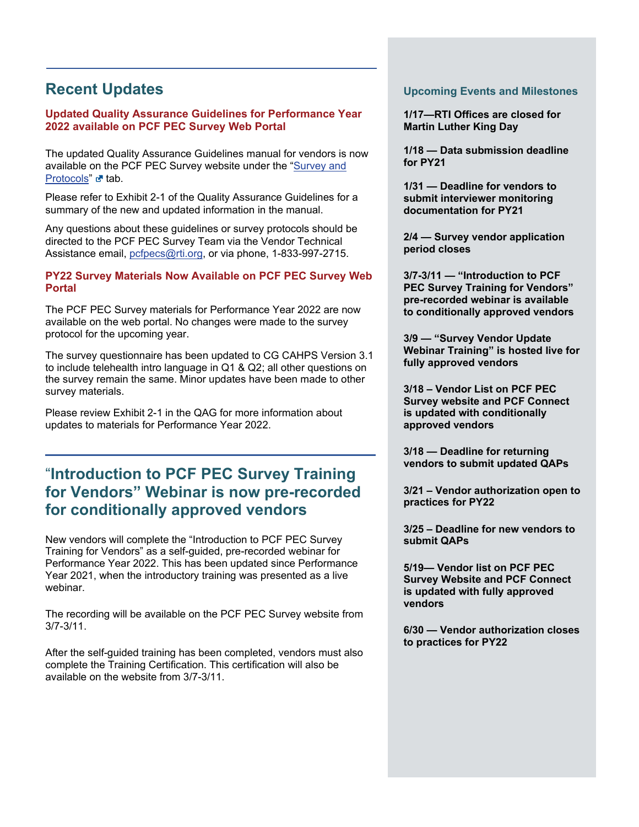### <span id="page-1-0"></span>**Recent Updates**

#### **Updated Quality Assurance Guidelines for Performance Year 2022 available on PCF PEC Survey Web Portal**

The updated Quality Assurance Guidelines manual for vendors is now available on the PCF PEC Survey website under the ["Survey and](https://pcfpecs.org/Survey-and-Protocols)  [Protocols](https://pcfpecs.org/Survey-and-Protocols)" or tab.

Please refer to Exhibit 2-1 of the Quality Assurance Guidelines for a summary of the new and updated information in the manual.

Any questions about these guidelines or survey protocols should be directed to the PCF PEC Survey Team via the Vendor Technical Assistance email, [pcfpecs@rti.org](mailto:pcfpecs@rti.org), or via phone, 1-833-997-2715.

#### **PY22 Survey Materials Now Available on PCF PEC Survey Web Portal**

The PCF PEC Survey materials for Performance Year 2022 are now available on the web portal. No changes were made to the survey protocol for the upcoming year.

The survey questionnaire has been updated to CG CAHPS Version 3.1 to include telehealth intro language in Q1 & Q2; all other questions on the survey remain the same. Minor updates have been made to other survey materials.

Please review Exhibit 2-1 in the QAG for more information about updates to materials for Performance Year 2022.

### <span id="page-1-1"></span>"**Introduction to PCF PEC Survey Training for Vendors" Webinar is now pre-recorded for conditionally approved vendors**

New vendors will complete the "Introduction to PCF PEC Survey Training for Vendors" as a self-guided, pre-recorded webinar for Performance Year 2022. This has been updated since Performance Year 2021, when the introductory training was presented as a live webinar.

The recording will be available on the PCF PEC Survey website from 3/7-3/11.

After the self-guided training has been completed, vendors must also complete the Training Certification. This certification will also be available on the website from 3/7-3/11.

#### **Upcoming Events and Milestones**

**1/17—RTI Offices are closed for Martin Luther King Day**

**1/18 — Data submission deadline for PY21**

**1/31 — Deadline for vendors to submit interviewer monitoring documentation for PY21** 

**2/4 — Survey vendor application period closes**

**3/7-3/11 — "Introduction to PCF PEC Survey Training for Vendors" pre-recorded webinar is available to conditionally approved vendors** 

**3/9 — "Survey Vendor Update Webinar Training" is hosted live for fully approved vendors**

**3/18 – Vendor List on PCF PEC Survey website and PCF Connect is updated with conditionally approved vendors**

**3/18 — Deadline for returning vendors to submit updated QAPs**

**3/21 – Vendor authorization open to practices for PY22**

**3/25 – Deadline for new vendors to submit QAPs**

**5/19— Vendor list on PCF PEC Survey Website and PCF Connect is updated with fully approved vendors** 

**6/30 — Vendor authorization closes to practices for PY22**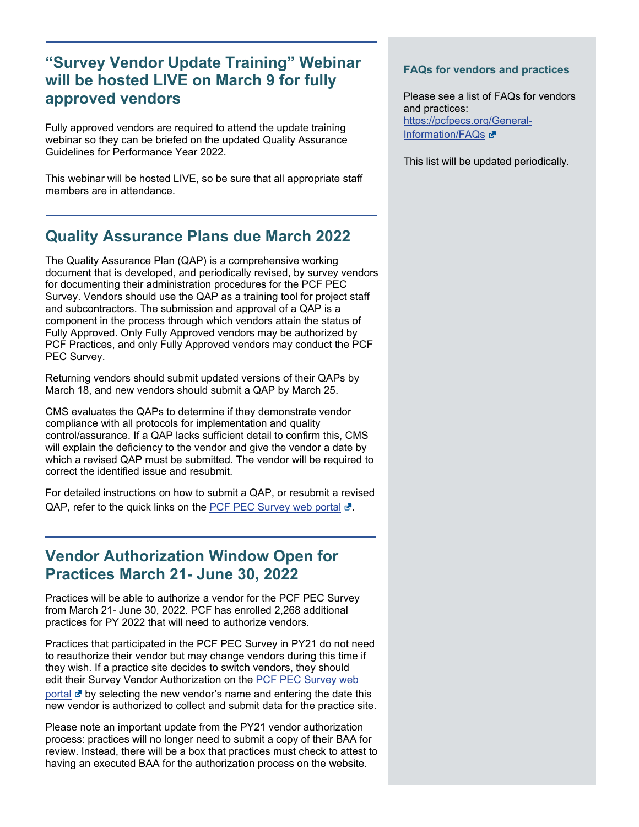### <span id="page-2-0"></span>**"Survey Vendor Update Training" Webinar will be hosted LIVE on March 9 for fully approved vendors**

Fully approved vendors are required to attend the update training webinar so they can be briefed on the updated Quality Assurance Guidelines for Performance Year 2022.

This webinar will be hosted LIVE, so be sure that all appropriate staff members are in attendance.

### <span id="page-2-1"></span>**Quality Assurance Plans due March 2022**

The Quality Assurance Plan (QAP) is a comprehensive working document that is developed, and periodically revised, by survey vendors for documenting their administration procedures for the PCF PEC Survey. Vendors should use the QAP as a training tool for project staff and subcontractors. The submission and approval of a QAP is a component in the process through which vendors attain the status of Fully Approved. Only Fully Approved vendors may be authorized by PCF Practices, and only Fully Approved vendors may conduct the PCF PEC Survey.

Returning vendors should submit updated versions of their QAPs by March 18, and new vendors should submit a QAP by March 25.

CMS evaluates the QAPs to determine if they demonstrate vendor compliance with all protocols for implementation and quality control/assurance. If a QAP lacks sufficient detail to confirm this, CMS will explain the deficiency to the vendor and give the vendor a date by which a revised QAP must be submitted. The vendor will be required to correct the identified issue and resubmit.

For detailed instructions on how to submit a QAP, or resubmit a revised QAP, refer to the quick links on the [PCF PEC Survey web portal](https://pcfpecs.org/)  $\mathbb{F}$ .

### <span id="page-2-2"></span>**Vendor Authorization Window Open for Practices March 21- June 30, 2022**

Practices will be able to authorize a vendor for the PCF PEC Survey from March 21- June 30, 2022. PCF has enrolled 2,268 additional practices for PY 2022 that will need to authorize vendors.

Practices that participated in the PCF PEC Survey in PY21 do not need to reauthorize their vendor but may change vendors during this time if they wish. If a practice site decides to switch vendors, they should edit their Survey Vendor Authorization on the [PCF PEC](https://pcfpecs.org/) Survey web [portal](https://pcfpecs.org/)  $\mathbf{d}$  by selecting the new vendor's name and entering the date this new vendor is authorized to collect and submit data for the practice site.

Please note an important update from the PY21 vendor authorization process: practices will no longer need to submit a copy of their BAA for review. Instead, there will be a box that practices must check to attest to having an executed BAA for the authorization process on the website.

#### **FAQs for vendors and practices**

Please see a list of FAQs for vendors and practices: [https://pcfpecs.org/General-](https://pcfpecs.org/General-Information/FAQs)[Information/FAQs](https://pcfpecs.org/General-Information/FAQs) &

This list will be updated periodically.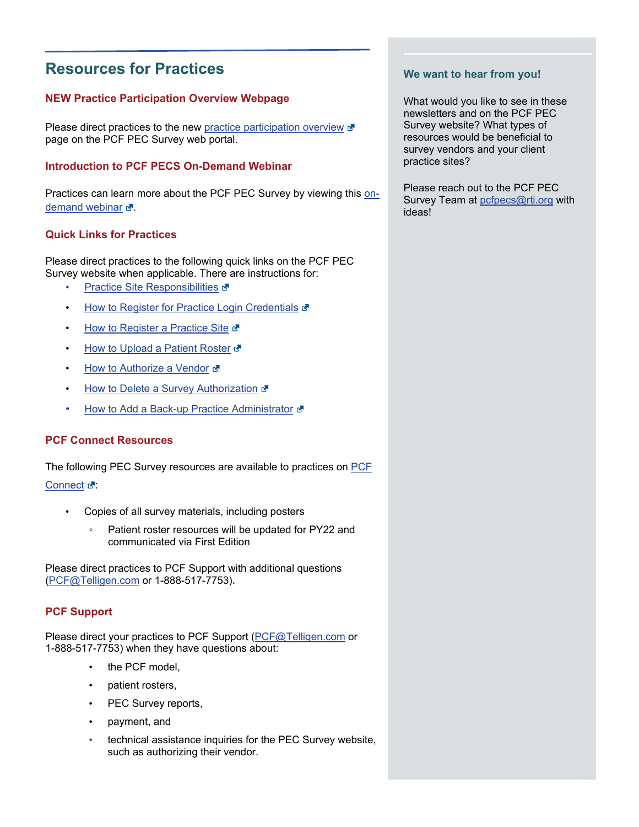### <span id="page-3-0"></span>**Resources for Practices**

### **NEW Practice Participation Overview Webpage**

Please direct practices to the new [practice participation overview](https://pcfpecs.org/Practice-Sites/PCF-PEC-Survey-Participation-Overview)  $\mathbf{r}$ page on the PCF PEC Survey web portal.

### **Introduction to PCF PECS On-Demand Webinar**

Practices can learn more about the PCF PEC Survey by viewing this [on](https://www.youtube.com/watch?v=gVOwqq0kQpo)[demand webinar](https://www.youtube.com/watch?v=gVOwqq0kQpo)  $\mathbf{d}$ .

### **Quick Links for Practices**

Please direct practices to the following quick links on the PCF PEC Survey website when applicable. There are instructions for:

- **[Practice Site Responsibilities](https://pcfpecs.org/Portals/0/Docs/PracticeSiteResponsibilities.pdf) &**
- **[How to Register for Practice Login Credentials](https://pcfpecs.org/Practice-Sites/Practice-Site-User-Registration) &**
- [How to Register a Practice Site](https://pcfpecs.org/Portals/0/Docs/HowRegisterPracticeSite.pdf)
- [How to Upload a Patient Roster](https://pcfpecs.org/Portals/0/Docs/HowUploadPatientRoster.pdf)
- [How to Authorize a Vendor](https://pcfpecs.org/Portals/0/Docs/HowAuthorizeSurveyVendor.pdf) &
- [How to Delete a Survey Authorization](https://pcfpecs.org/Portals/0/Docs/HowDeleteSurveyVendorAuth.pdf) &
- How to [Add a Back-up Practice Administrator](https://pcfpecs.org/Portals/0/Docs/HowAddBackupAdmin.pdf) &

#### **PCF Connect Resources**

The following PEC Survey resources are available to practices on [PCF](https://app.innovation.cms.gov/PCF/IDMLogin)  [Connect](https://app.innovation.cms.gov/PCF/IDMLogin) &

- Copies of all survey materials, including posters
	- Patient roster resources will be updated for PY22 and communicated via First Edition

Please direct practices to PCF Support with additional questions [\(PCF@Telligen.com](mailto:PCF@Telligen.com) or 1-888-517-7753)**.** 

### **PCF Support**

Please direct your practices to PCF Support [\(PCF@Telligen.com](mailto:PCF@Telligen.com) or 1-888-517-7753) when they have questions about:

- the PCF model,
- patient rosters,
- PEC Survey reports,
- payment, and
- technical assistance inquiries for the PEC Survey website, such as authorizing their vendor.

#### **We want to hear from you!**

What would you like to see in these newsletters and on the PCF PEC Survey website? What types of resources would be beneficial to survey vendors and your client practice sites?

Please reach out to the PCF PEC Survey Team at [pcfpecs@rti.org](mailto:pcfpecs@rti.org) with ideas!